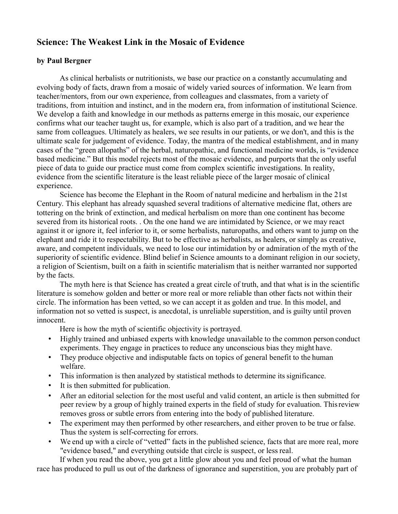# **Science: The Weakest Link in the Mosaic of Evidence**

# **by Paul Bergner**

As clinical herbalists or nutritionists, we base our practice on a constantly accumulating and evolving body of facts, drawn from a mosaic of widely varied sources of information. We learn from teacher/mentors, from our own experience, from colleagues and classmates, from a variety of traditions, from intuition and instinct, and in the modern era, from information of institutional Science. We develop a faith and knowledge in our methods as patterns emerge in this mosaic, our experience confirms what our teacher taught us, for example, which is also part of a tradition, and we hear the same from colleagues. Ultimately as healers, we see results in our patients, or we don't, and this is the ultimate scale for judgement of evidence. Today, the mantra of the medical establishment, and in many cases of the "green allopaths" of the herbal, naturopathic, and functional medicine worlds, is "evidence based medicine." But this model rejects most of the mosaic evidence, and purports that the only useful piece of data to guide our practice must come from complex scientific investigations. In reality, evidence from the scientific literature is the least reliable piece of the larger mosaic of clinical experience.

Science has become the Elephant in the Room of natural medicine and herbalism in the 21st Century. This elephant has already squashed several traditions of alternative medicine flat, others are tottering on the brink of extinction, and medical herbalism on more than one continent has become severed from its historical roots. . On the one hand we are intimidated by Science, or we may react against it or ignore it, feel inferior to it, or some herbalists, naturopaths, and others want to jump on the elephant and ride it to respectability. But to be effective as herbalists, as healers, or simply as creative, aware, and competent individuals, we need to lose our intimidation by or admiration of the myth of the superiority of scientific evidence. Blind belief in Science amounts to a dominant religion in our society, a religion of Scientism, built on a faith in scientific materialism that is neither warranted nor supported by the facts.

The myth here is that Science has created a great circle of truth, and that what is in the scientific literature is somehow golden and better or more real or more reliable than other facts not within their circle. The information has been vetted, so we can accept it as golden and true. In this model, and information not so vetted is suspect, is anecdotal, is unreliable superstition, and is guilty until proven innocent.

Here is how the myth of scientific objectivity is portrayed.

- Highly trained and unbiased experts with knowledge unavailable to the common person conduct experiments. They engage in practices to reduce any unconscious bias they might have.
- They produce objective and indisputable facts on topics of general benefit to the human welfare.
- This information is then analyzed by statistical methods to determine its significance.
- It is then submitted for publication.
- After an editorial selection for the most useful and valid content, an article is then submitted for peer review by a group of highly trained experts in the field of study for evaluation. Thisreview removes gross or subtle errors from entering into the body of published literature.
- The experiment may then performed by other researchers, and either proven to be true or false. Thus the system is self-correcting for errors.
- We end up with a circle of "vetted" facts in the published science, facts that are more real, more "evidence based," and everything outside that circle is suspect, or less real.

If when you read the above, you get a little glow about you and feel proud of what the human race has produced to pull us out of the darkness of ignorance and superstition, you are probably part of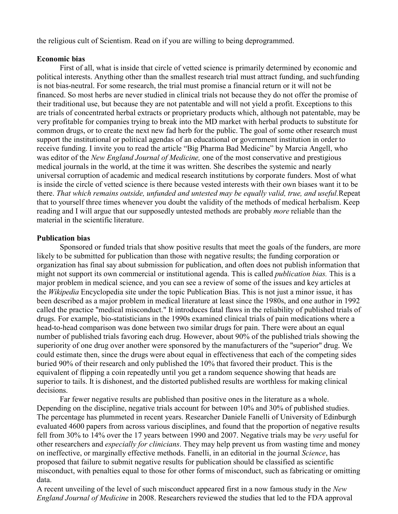the religious cult of Scientism. Read on if you are willing to being deprogrammed.

### **Economic bias**

First of all, what is inside that circle of vetted science is primarily determined by economic and political interests. Anything other than the smallest research trial must attract funding, and suchfunding is not bias-neutral. For some research, the trial must promise a financial return or it will not be financed. So most herbs are never studied in clinical trials not because they do not offer the promise of their traditional use, but because they are not patentable and will not yield a profit. Exceptions to this are trials of concentrated herbal extracts or proprietary products which, although not patentable, may be very profitable for companies trying to break into the MD market with herbal products to substitute for common drugs, or to create the next new fad herb for the public. The goal of some other research must support the institutional or political agendas of an educational or government institution in order to receive funding. I invite you to read the article "Big Pharma Bad Medicine" by Marcia Angell, who was editor of the *New England Journal of Medicine,* one of the most conservative and prestigious medical journals in the world, at the time it was written. She describes the systemic and nearly universal corruption of academic and medical research institutions by corporate funders. Most of what is inside the circle of vetted science is there because vested interests with their own biases want it to be there. *That which remains outside, unfunded and untested may be equally valid, true, and useful.*Repeat that to yourself three times whenever you doubt the validity of the methods of medical herbalism. Keep reading and I will argue that our supposedly untested methods are probably *more* reliable than the material in the scientific literature.

## **Publication bias**

Sponsored or funded trials that show positive results that meet the goals of the funders, are more likely to be submitted for publication than those with negative results; the funding corporation or organization has final say about submission for publication, and often does not publish information that might not support its own commercial or institutional agenda. This is called *publication bias.* This is a major problem in medical science, and you can see a review of some of the issues and key articles at the *Wikipedia* Encyclopedia site under the topic Publication Bias. This is not just a minor issue, it has been described as a major problem in medical literature at least since the 1980s, and one author in 1992 called the practice "medical misconduct." It introduces fatal flaws in the reliability of published trials of drugs. For example, bio-statisticians in the 1990s examined clinical trials of pain medications where a head-to-head comparison was done between two similar drugs for pain. There were about an equal number of published trials favoring each drug. However, about 90% of the published trials showing the superiority of one drug over another were sponsored by the manufacturers of the "superior" drug. We could estimate then, since the drugs were about equal in effectiveness that each of the competing sides buried 90% of their research and only published the 10% that favored their product. This is the equivalent of flipping a coin repeatedly until you get a random sequence showing that heads are superior to tails. It is dishonest, and the distorted published results are worthless for making clinical decisions.

Far fewer negative results are published than positive ones in the literature as a whole. Depending on the discipline, negative trials account for between 10% and 30% of published studies. The percentage has plummeted in recent years. Researcher Daniele Fanelli of University of Edinburgh evaluated 4600 papers from across various disciplines, and found that the proportion of negative results fell from 30% to 14% over the 17 years between 1990 and 2007. Negative trials may be *very* useful for other researchers and *especially for clinicians*. They may help prevent us from wasting time and money on ineffective, or marginally effective methods. Fanelli, in an editorial in the journal *Science*, has proposed that failure to submit negative results for publication should be classified as scientific misconduct, with penalties equal to those for other forms of misconduct, such as fabricating or omitting data.

A recent unveiling of the level of such misconduct appeared first in a now famous study in the *New England Journal of Medicine* in 2008. Researchers reviewed the studies that led to the FDA approval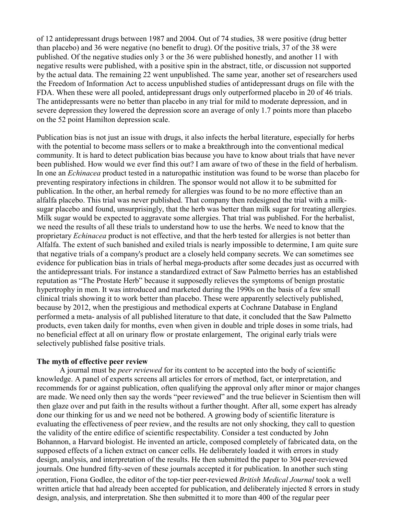of 12 antidepressant drugs between 1987 and 2004. Out of 74 studies, 38 were positive (drug better than placebo) and 36 were negative (no benefit to drug). Of the positive trials, 37 of the 38 were published. Of the negative studies only 3 or the 36 were published honestly, and another 11 with negative results were published, with a positive spin in the abstract, title, or discussion not supported by the actual data. The remaining 22 went unpublished. The same year, another set of researchers used the Freedom of Information Act to access unpublished studies of antidepressant drugs on file with the FDA. When these were all pooled, antidepressant drugs only outperformed placebo in 20 of 46 trials. The antidepressants were no better than placebo in any trial for mild to moderate depression, and in severe depression they lowered the depression score an average of only 1.7 points more than placebo on the 52 point Hamilton depression scale.

Publication bias is not just an issue with drugs, it also infects the herbal literature, especially for herbs with the potential to become mass sellers or to make a breakthrough into the conventional medical community. It is hard to detect publication bias because you have to know about trials that have never been published. How would we ever find this out? I am aware of two of these in the field of herbalism. In one an *Echinacea* product tested in a naturopathic institution was found to be worse than placebo for preventing respiratory infections in children. The sponsor would not allow it to be submitted for publication. In the other, an herbal remedy for allergies was found to be no more effective than an alfalfa placebo. This trial was never published. That company then redesigned the trial with a milksugar placebo and found, unsurprisingly, that the herb was better than milk sugar for treating allergies. Milk sugar would be expected to aggravate some allergies. That trial was published. For the herbalist, we need the results of all these trials to understand how to use the herbs. We need to know that the proprietary *Echinacea* product is not effective, and that the herb tested for allergies is not better than Alfalfa. The extent of such banished and exiled trials is nearly impossible to determine, I am quite sure that negative trials of a company's product are a closely held company secrets. We can sometimes see evidence for publication bias in trials of herbal mega-products after some decades just as occurred with the antidepressant trials. For instance a standardized extract of Saw Palmetto berries has an established reputation as "The Prostate Herb" because it supposedly relieves the symptoms of benign prostatic hypertrophy in men. It was introduced and marketed during the 1990s on the basis of a few small clinical trials showing it to work better than placebo. These were apparently selectively published, because by 2012, when the prestigious and methodical experts at Cochrane Database in England performed a meta- analysis of all published literature to that date, it concluded that the Saw Palmetto products, even taken daily for months, even when given in double and triple doses in some trials, had no beneficial effect at all on urinary flow or prostate enlargement, The original early trials were selectively published false positive trials.

# **The myth of effective peer review**

A journal must be *peer reviewed* for its content to be accepted into the body of scientific knowledge. A panel of experts screens all articles for errors of method, fact, or interpretation, and recommends for or against publication, often qualifying the approval only after minor or major changes are made. We need only then say the words "peer reviewed" and the true believer in Scientism then will then glaze over and put faith in the results without a further thought. After all, some expert has already done our thinking for us and we need not be bothered. A growing body of scientific literature is evaluating the effectiveness of peer review, and the results are not only shocking, they call to question the validity of the entire edifice of scientific respectability. Consider a test conducted by John Bohannon, a Harvard biologist. He invented an article, composed completely of fabricated data, on the supposed effects of a lichen extract on cancer cells. He deliberately loaded it with errors in study design, analysis, and interpretation of the results. He then submitted the paper to 304 peer-reviewed journals. One hundred fifty-seven of these journals accepted it for publication. In another such sting

operation, Fiona Godlee, the editor of the top-tier peer-reviewed *British Medical Journal* took a well written article that had already been accepted for publication, and deliberately injected 8 errors in study design, analysis, and interpretation. She then submitted it to more than 400 of the regular peer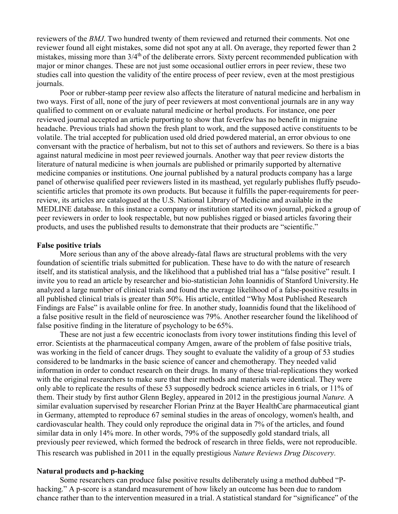reviewers of the *BMJ*. Two hundred twenty of them reviewed and returned their comments. Not one reviewer found all eight mistakes, some did not spot any at all. On average, they reported fewer than 2 mistakes, missing more than 3/4<sup>th</sup> of the deliberate errors. Sixty percent recommended publication with major or minor changes. These are not just some occasional outlier errors in peer review, these two studies call into question the validity of the entire process of peer review, even at the most prestigious journals.

Poor or rubber-stamp peer review also affects the literature of natural medicine and herbalism in two ways. First of all, none of the jury of peer reviewers at most conventional journals are in any way qualified to comment on or evaluate natural medicine or herbal products. For instance, one peer reviewed journal accepted an article purporting to show that feverfew has no benefit in migraine headache. Previous trials had shown the fresh plant to work, and the supposed active constituents to be volatile. The trial accepted for publication used old dried powdered material, an error obvious to one conversant with the practice of herbalism, but not to this set of authors and reviewers. So there is a bias against natural medicine in most peer reviewed journals. Another way that peer review distorts the literature of natural medicine is when journals are published or primarily supported by alternative medicine companies or institutions. One journal published by a natural products company has a large panel of otherwise qualified peer reviewers listed in its masthead, yet regularly publishes fluffy pseudoscientific articles that promote its own products. But because it fulfills the paper-requirements for peerreview, its articles are catalogued at the U.S. National Library of Medicine and available in the MEDLINE database. In this instance a company or institution started its own journal, picked a group of peer reviewers in order to look respectable, but now publishes rigged or biased articles favoring their products, and uses the published results to demonstrate that their products are "scientific."

#### **False positive trials**

More serious than any of the above already-fatal flaws are structural problems with the very foundation of scientific trials submitted for publication. These have to do with the nature of research itself, and its statistical analysis, and the likelihood that a published trial has a "false positive" result. I invite you to read an article by researcher and bio-statistician John Ioannidis of Stanford University.He analyzed a large number of clinical trials and found the average likelihood of a false-positive results in all published clinical trials is greater than 50%. His article, entitled "Why Most Published Research Findings are False" is available online for free. In another study, Ioannidis found that the likelihood of a false positive result in the field of neuroscience was 79%. Another researcher found the likelihood of false positive finding in the literature of psychology to be 65%.

These are not just a few eccentric iconoclasts from ivory tower institutions finding this level of error. Scientists at the pharmaceutical company Amgen, aware of the problem of false positive trials, was working in the field of cancer drugs. They sought to evaluate the validity of a group of 53 studies considered to be landmarks in the basic science of cancer and chemotherapy. They needed valid information in order to conduct research on their drugs. In many of these trial-replications they worked with the original researchers to make sure that their methods and materials were identical. They were only able to replicate the results of these 53 supposedly bedrock science articles in 6 trials, or 11% of them. Their study by first author Glenn Begley, appeared in 2012 in the prestigious journal *Nature.* A similar evaluation supervised by researcher Florian Prinz at the Bayer HealthCare pharmaceutical giant in Germany, attempted to reproduce 67 seminal studies in the areas of oncology, women's health, and cardiovascular health. They could only reproduce the original data in 7% of the articles, and found similar data in only 14% more. In other words, 79% of the supposedly gold standard trials, all previously peer reviewed, which formed the bedrock of research in three fields, were not reproducible. This research was published in 2011 in the equally prestigious *Nature Reviews Drug Discovery.*

### **Natural products and p-hacking**

Some researchers can produce false positive results deliberately using a method dubbed "Phacking." A p-score is a standard measurement of how likely an outcome has been due to random chance rather than to the intervention measured in a trial. A statistical standard for "significance" of the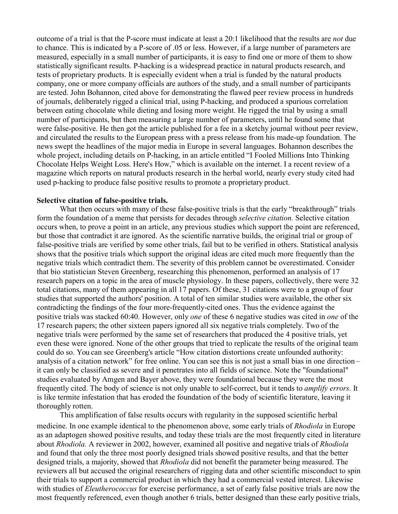outcome of a trial is that the P-score must indicate at least a 20:1 likelihood that the results are *not* due to chance. This is indicated by a P-score of .05 or less. However, if a large number of parameters are measured, especially in a small number of participants, it is easy to find one or more of them to show statistically significant results. P-hacking is a widespread practice in natural products research, and tests of proprietary products. It is especially evident when a trial is funded by the natural products company, one or more company officials are authors of the study, and a small number of participants are tested. John Bohannon, cited above for demonstrating the flawed peer review process in hundreds of journals, deliberately rigged a clinical trial, using P-hacking, and produced a spurious correlation between eating chocolate while dieting and losing more weight. He rigged the trial by using a small number of participants, but then measuring a large number of parameters, until he found some that were false-positive. He then got the article published for a fee in a sketchy journal without peer review, and circulated the results to the European press with a press release from his made-up foundation. The news swept the headlines of the major media in Europe in several languages. Bohannon describes the whole project, including details on P-hacking, in an article entitled "I Fooled Millions Into Thinking Chocolate Helps Weight Loss. Here's How," which is available on the internet. I a recent review of a magazine which reports on natural products research in the herbal world, nearly every study cited had used p-hacking to produce false positive results to promote a proprietary product.

#### **Selective citation of false-positive trials.**

What then occurs with many of these false-positive trials is that the early "breakthrough" trials form the foundation of a meme that persists for decades through *selective citation.* Selective citation occurs when, to prove a point in an article, any previous studies which support the point are referenced, but those that contradict it are ignored. As the scientific narrative builds, the original trial or group of false-positive trials are verified by some other trials, fail but to be verified in others. Statistical analysis shows that the positive trials which support the original ideas are cited much more frequently than the negative trials which contradict them. The severity of this problem cannot be overestimated. Consider that bio statistician Steven Greenberg, researching this phenomenon, performed an analysis of 17 research papers on a topic in the area of muscle physiology. In these papers, collectively, there were 32 total citations, many of them appearing in all 17 papers. Of these, 31 citations were to a group of four studies that supported the authors' position. A total of ten similar studies were available, the other six contradicting the findings of the four more-frequently-cited ones. Thus the evidence against the positive trials was stacked 60:40. However, only *one* of these 6 negative studies was cited in *one* of the 17 research papers; the other sixteen papers ignored all six negative trials completely. Two of the negative trials were performed by the same set of researchers that produced the 4 positive trials, yet even these were ignored. None of the other groups that tried to replicate the results of the original team could do so. You can see Greenberg's article "How citation distortions create unfounded authority: analysis of a citation network" for free online. You can see this is not just a small bias in one direction – it can only be classified as severe and it penetrates into all fields of science. Note the "foundational" studies evaluated by Amgen and Bayer above, they were foundational because they were the most frequently cited. The body of science is not only unable to self-correct, but it tends to *amplify errors.* It is like termite infestation that has eroded the foundation of the body of scientific literature, leaving it thoroughly rotten.

This amplification of false results occurs with regularity in the supposed scientific herbal medicine. In one example identical to the phenomenon above, some early trials of *Rhodiola* in Europe as an adaptogen showed positive results, and today these trials are the most frequently cited in literature about *Rhodiola.* A reviewer in 2002, however, examined all positive and negative trials of *Rhodiola*  and found that only the three most poorly designed trials showed positive results, and that the better designed trials, a majority, showed that *Rhodiola* did not benefit the parameter being measured. The reviewers all but accused the original researchers of rigging data and other scientific misconduct to spin their trials to support a commercial product in which they had a commercial vested interest. Likewise with studies of *Eleutherococcus* for exercise performance, a set of early false positive trials are now the most frequently referenced, even though another 6 trials, better designed than these early positive trials,